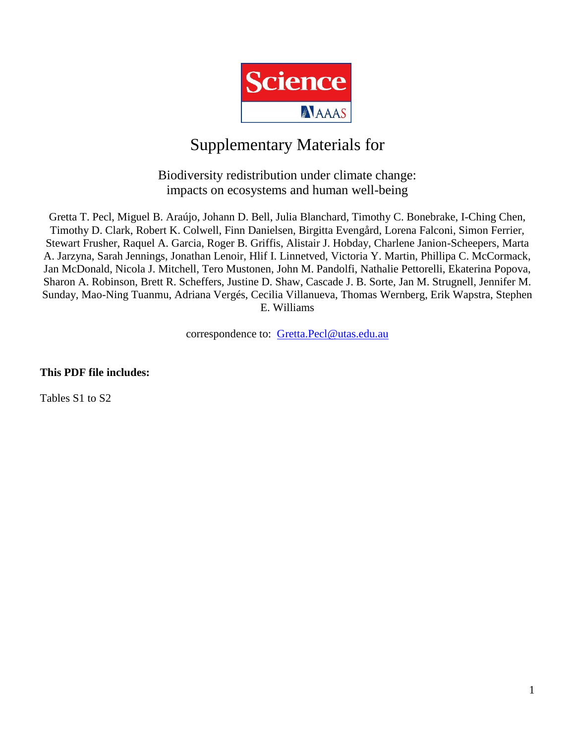

## Supplementary Materials for

## Biodiversity redistribution under climate change: impacts on ecosystems and human well-being

Gretta T. Pecl, Miguel B. Araújo, Johann D. Bell, Julia Blanchard, Timothy C. Bonebrake, I-Ching Chen, Timothy D. Clark, Robert K. Colwell, Finn Danielsen, Birgitta Evengård, Lorena Falconi, Simon Ferrier, Stewart Frusher, Raquel A. Garcia, Roger B. Griffis, Alistair J. Hobday, Charlene Janion-Scheepers, Marta A. Jarzyna, Sarah Jennings, Jonathan Lenoir, Hlif I. Linnetved, Victoria Y. Martin, Phillipa C. McCormack, Jan McDonald, Nicola J. Mitchell, Tero Mustonen, John M. Pandolfi, Nathalie Pettorelli, Ekaterina Popova, Sharon A. Robinson, Brett R. Scheffers, Justine D. Shaw, Cascade J. B. Sorte, Jan M. Strugnell, Jennifer M. Sunday, Mao-Ning Tuanmu, Adriana Vergés, Cecilia Villanueva, Thomas Wernberg, Erik Wapstra, Stephen E. Williams

correspondence to: [Gretta.Pecl@utas.edu.au](mailto:Gretta.Pecl@utas.edu.au)

**This PDF file includes:**

Tables S1 to S2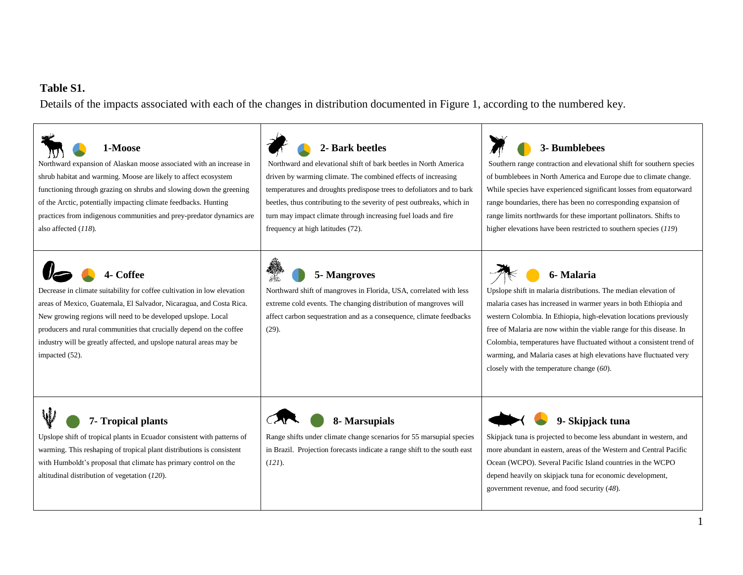## **Table S1.**

Details of the impacts associated with each of the changes in distribution documented in Figure 1, according to the numbered key.

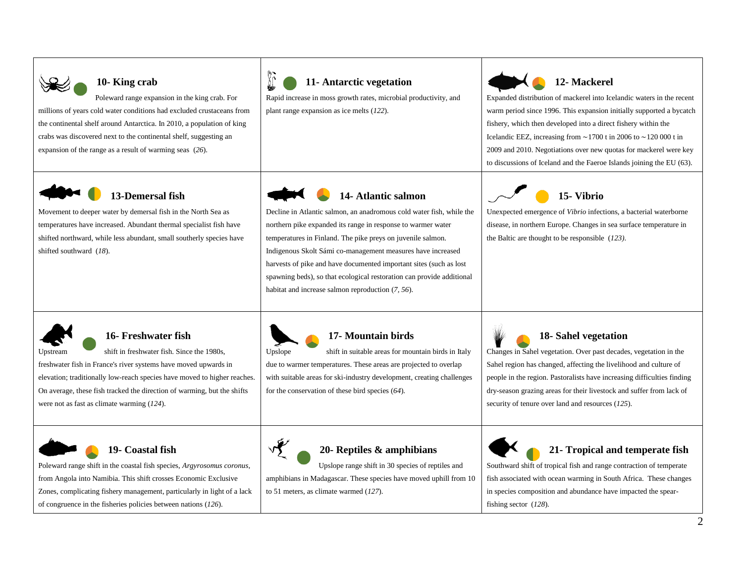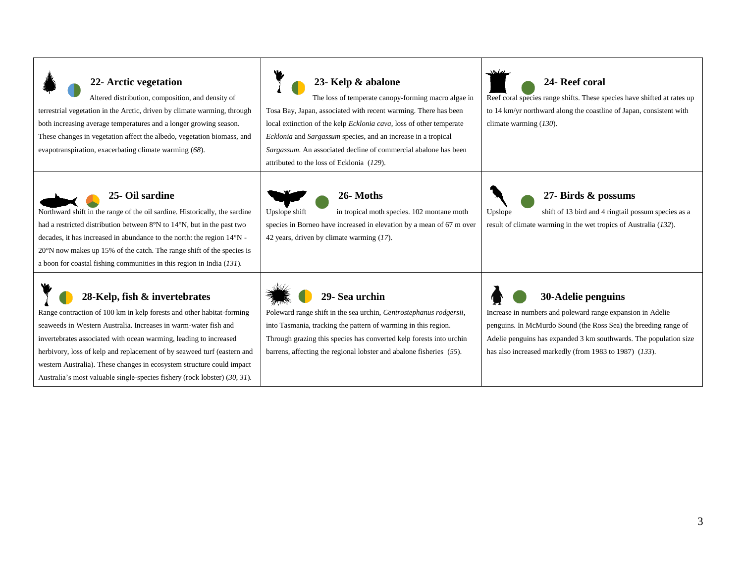| 22- Arctic vegetation<br>Altered distribution, composition, and density of<br>terrestrial vegetation in the Arctic, driven by climate warming, through<br>both increasing average temperatures and a longer growing season.<br>These changes in vegetation affect the albedo, vegetation biomass, and<br>evapotranspiration, exacerbating climate warming (68).                                                                                                                 | 23- Kelp & abalone<br>The loss of temperate canopy-forming macro algae in<br>Tosa Bay, Japan, associated with recent warming. There has been<br>local extinction of the kelp Ecklonia cava, loss of other temperate<br><i>Ecklonia</i> and <i>Sargassum</i> species, and an increase in a tropical<br>Sargassum. An associated decline of commercial abalone has been<br>attributed to the loss of Ecklonia (129). | 24- Reef coral<br>Reef coral species range shifts. These species have shifted at rates up<br>to 14 km/yr northward along the coastline of Japan, consistent with<br>climate warming $(130)$ .                                                                                      |
|---------------------------------------------------------------------------------------------------------------------------------------------------------------------------------------------------------------------------------------------------------------------------------------------------------------------------------------------------------------------------------------------------------------------------------------------------------------------------------|--------------------------------------------------------------------------------------------------------------------------------------------------------------------------------------------------------------------------------------------------------------------------------------------------------------------------------------------------------------------------------------------------------------------|------------------------------------------------------------------------------------------------------------------------------------------------------------------------------------------------------------------------------------------------------------------------------------|
| <b>25- Oil sardine</b><br>Northward shift in the range of the oil sardine. Historically, the sardine<br>had a restricted distribution between $8^{\circ}$ N to $14^{\circ}$ N, but in the past two<br>decades, it has increased in abundance to the north: the region 14°N -<br>20°N now makes up 15% of the catch. The range shift of the species is<br>a boon for coastal fishing communities in this region in India $(131)$ .                                               | 26-Moths<br>in tropical moth species. 102 montane moth<br>Upslope shift<br>species in Borneo have increased in elevation by a mean of 67 m over<br>42 years, driven by climate warming (17).                                                                                                                                                                                                                       | 27- Birds & possums<br>shift of 13 bird and 4 ringtail possum species as a<br>Upslope<br>result of climate warming in the wet tropics of Australia (132).                                                                                                                          |
| 28-Kelp, fish & invertebrates<br>Range contraction of 100 km in kelp forests and other habitat-forming<br>seaweeds in Western Australia. Increases in warm-water fish and<br>invertebrates associated with ocean warming, leading to increased<br>herbivory, loss of kelp and replacement of by seaweed turf (eastern and<br>western Australia). These changes in ecosystem structure could impact<br>Australia's most valuable single-species fishery (rock lobster) (30, 31). | 29- Sea urchin<br>Poleward range shift in the sea urchin, Centrostephanus rodgersii,<br>into Tasmania, tracking the pattern of warming in this region.<br>Through grazing this species has converted kelp forests into urchin<br>barrens, affecting the regional lobster and abalone fisheries (55).                                                                                                               | 30-Adelie penguins<br>Increase in numbers and poleward range expansion in Adelie<br>penguins. In McMurdo Sound (the Ross Sea) the breeding range of<br>Adelie penguins has expanded 3 km southwards. The population size<br>has also increased markedly (from 1983 to 1987) (133). |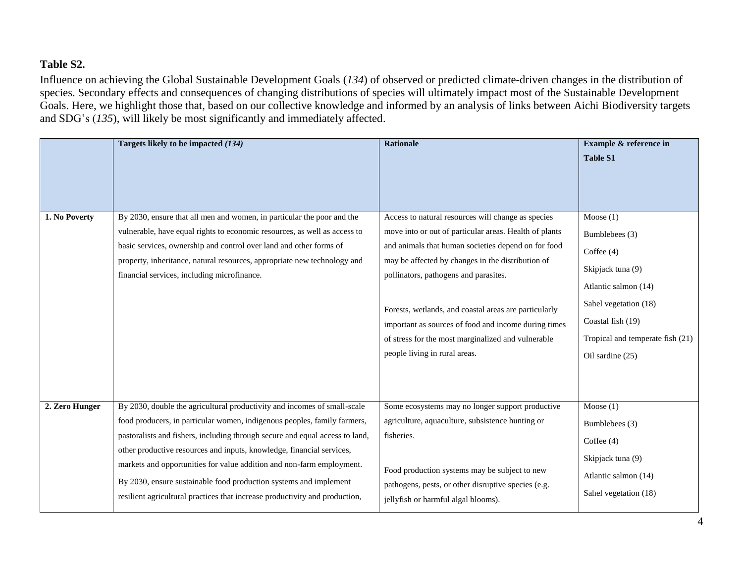## **Table S2.**

Influence on achieving the Global Sustainable Development Goals (*134*) of observed or predicted climate-driven changes in the distribution of species. Secondary effects and consequences of changing distributions of species will ultimately impact most of the Sustainable Development Goals. Here, we highlight those that, based on our collective knowledge and informed by an analysis of links between Aichi Biodiversity targets and SDG's (*135*), will likely be most significantly and immediately affected.

|                | Targets likely to be impacted (134)                                                                                                                                                                                                                                                                                                                                                                                                                                                                                                        | <b>Rationale</b>                                                                                                                                                                                                                                                                                                                                                                                                                                                          | Example & reference in<br><b>Table S1</b>                                                                                                                                                        |
|----------------|--------------------------------------------------------------------------------------------------------------------------------------------------------------------------------------------------------------------------------------------------------------------------------------------------------------------------------------------------------------------------------------------------------------------------------------------------------------------------------------------------------------------------------------------|---------------------------------------------------------------------------------------------------------------------------------------------------------------------------------------------------------------------------------------------------------------------------------------------------------------------------------------------------------------------------------------------------------------------------------------------------------------------------|--------------------------------------------------------------------------------------------------------------------------------------------------------------------------------------------------|
| 1. No Poverty  | By 2030, ensure that all men and women, in particular the poor and the<br>vulnerable, have equal rights to economic resources, as well as access to<br>basic services, ownership and control over land and other forms of<br>property, inheritance, natural resources, appropriate new technology and<br>financial services, including microfinance.                                                                                                                                                                                       | Access to natural resources will change as species<br>move into or out of particular areas. Health of plants<br>and animals that human societies depend on for food<br>may be affected by changes in the distribution of<br>pollinators, pathogens and parasites.<br>Forests, wetlands, and coastal areas are particularly<br>important as sources of food and income during times<br>of stress for the most marginalized and vulnerable<br>people living in rural areas. | Moose $(1)$<br>Bumblebees (3)<br>Coffee $(4)$<br>Skipjack tuna (9)<br>Atlantic salmon (14)<br>Sahel vegetation (18)<br>Coastal fish (19)<br>Tropical and temperate fish (21)<br>Oil sardine (25) |
| 2. Zero Hunger | By 2030, double the agricultural productivity and incomes of small-scale<br>food producers, in particular women, indigenous peoples, family farmers,<br>pastoralists and fishers, including through secure and equal access to land,<br>other productive resources and inputs, knowledge, financial services,<br>markets and opportunities for value addition and non-farm employment.<br>By 2030, ensure sustainable food production systems and implement<br>resilient agricultural practices that increase productivity and production, | Some ecosystems may no longer support productive<br>agriculture, aquaculture, subsistence hunting or<br>fisheries.<br>Food production systems may be subject to new<br>pathogens, pests, or other disruptive species (e.g.<br>jellyfish or harmful algal blooms).                                                                                                                                                                                                         | Moose $(1)$<br>Bumblebees (3)<br>Coffee $(4)$<br>Skipjack tuna (9)<br>Atlantic salmon (14)<br>Sahel vegetation (18)                                                                              |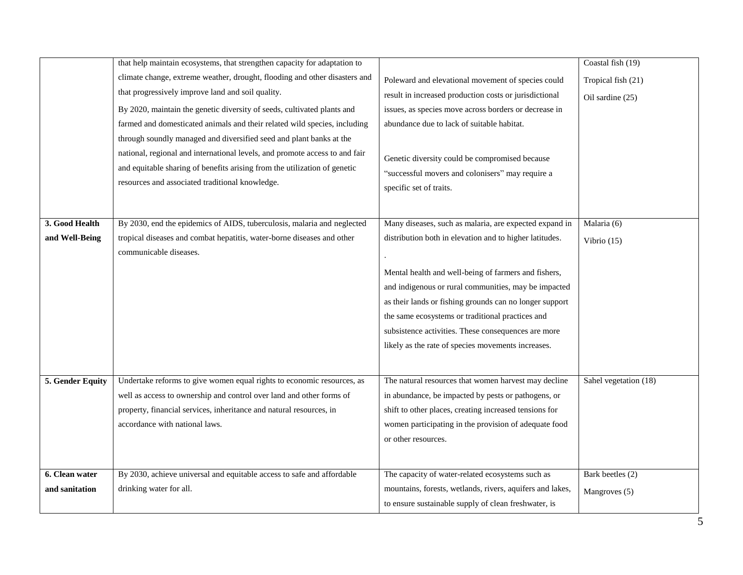|                  | that help maintain ecosystems, that strengthen capacity for adaptation to   |                                                           | Coastal fish (19)     |
|------------------|-----------------------------------------------------------------------------|-----------------------------------------------------------|-----------------------|
|                  | climate change, extreme weather, drought, flooding and other disasters and  | Poleward and elevational movement of species could        | Tropical fish (21)    |
|                  | that progressively improve land and soil quality.                           | result in increased production costs or jurisdictional    | Oil sardine (25)      |
|                  | By 2020, maintain the genetic diversity of seeds, cultivated plants and     | issues, as species move across borders or decrease in     |                       |
|                  | farmed and domesticated animals and their related wild species, including   | abundance due to lack of suitable habitat.                |                       |
|                  | through soundly managed and diversified seed and plant banks at the         |                                                           |                       |
|                  | national, regional and international levels, and promote access to and fair | Genetic diversity could be compromised because            |                       |
|                  | and equitable sharing of benefits arising from the utilization of genetic   | "successful movers and colonisers" may require a          |                       |
|                  | resources and associated traditional knowledge.                             | specific set of traits.                                   |                       |
|                  |                                                                             |                                                           |                       |
| 3. Good Health   | By 2030, end the epidemics of AIDS, tuberculosis, malaria and neglected     | Many diseases, such as malaria, are expected expand in    | Malaria (6)           |
| and Well-Being   | tropical diseases and combat hepatitis, water-borne diseases and other      | distribution both in elevation and to higher latitudes.   |                       |
|                  | communicable diseases.                                                      |                                                           | Vibrio $(15)$         |
|                  |                                                                             |                                                           |                       |
|                  |                                                                             | Mental health and well-being of farmers and fishers,      |                       |
|                  |                                                                             | and indigenous or rural communities, may be impacted      |                       |
|                  |                                                                             | as their lands or fishing grounds can no longer support   |                       |
|                  |                                                                             | the same ecosystems or traditional practices and          |                       |
|                  |                                                                             | subsistence activities. These consequences are more       |                       |
|                  |                                                                             | likely as the rate of species movements increases.        |                       |
|                  |                                                                             |                                                           |                       |
| 5. Gender Equity | Undertake reforms to give women equal rights to economic resources, as      | The natural resources that women harvest may decline      | Sahel vegetation (18) |
|                  | well as access to ownership and control over land and other forms of        | in abundance, be impacted by pests or pathogens, or       |                       |
|                  | property, financial services, inheritance and natural resources, in         | shift to other places, creating increased tensions for    |                       |
|                  | accordance with national laws.                                              | women participating in the provision of adequate food     |                       |
|                  |                                                                             | or other resources.                                       |                       |
|                  |                                                                             |                                                           |                       |
| 6. Clean water   | By 2030, achieve universal and equitable access to safe and affordable      | The capacity of water-related ecosystems such as          | Bark beetles (2)      |
| and sanitation   | drinking water for all.                                                     | mountains, forests, wetlands, rivers, aquifers and lakes, | Mangroves (5)         |
|                  |                                                                             | to ensure sustainable supply of clean freshwater, is      |                       |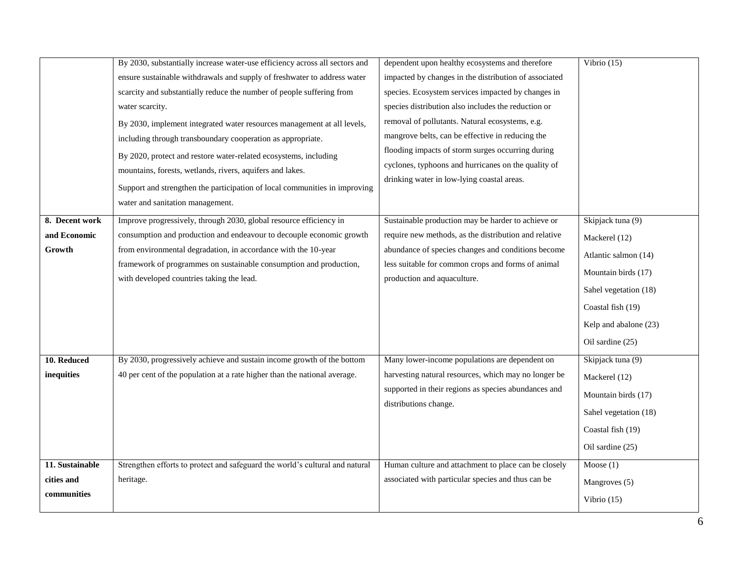|                                              | By 2030, substantially increase water-use efficiency across all sectors and<br>ensure sustainable withdrawals and supply of freshwater to address water<br>scarcity and substantially reduce the number of people suffering from<br>water scarcity.<br>By 2030, implement integrated water resources management at all levels,<br>including through transboundary cooperation as appropriate.<br>By 2020, protect and restore water-related ecosystems, including<br>mountains, forests, wetlands, rivers, aquifers and lakes. | dependent upon healthy ecosystems and therefore<br>impacted by changes in the distribution of associated<br>species. Ecosystem services impacted by changes in<br>species distribution also includes the reduction or<br>removal of pollutants. Natural ecosystems, e.g.<br>mangrove belts, can be effective in reducing the<br>flooding impacts of storm surges occurring during<br>cyclones, typhoons and hurricanes on the quality of<br>drinking water in low-lying coastal areas. | Vibrio $(15)$                                                                                                                                                                |
|----------------------------------------------|--------------------------------------------------------------------------------------------------------------------------------------------------------------------------------------------------------------------------------------------------------------------------------------------------------------------------------------------------------------------------------------------------------------------------------------------------------------------------------------------------------------------------------|----------------------------------------------------------------------------------------------------------------------------------------------------------------------------------------------------------------------------------------------------------------------------------------------------------------------------------------------------------------------------------------------------------------------------------------------------------------------------------------|------------------------------------------------------------------------------------------------------------------------------------------------------------------------------|
|                                              | Support and strengthen the participation of local communities in improving<br>water and sanitation management.                                                                                                                                                                                                                                                                                                                                                                                                                 |                                                                                                                                                                                                                                                                                                                                                                                                                                                                                        |                                                                                                                                                                              |
| 8. Decent work<br>and Economic<br>Growth     | Improve progressively, through 2030, global resource efficiency in<br>consumption and production and endeavour to decouple economic growth<br>from environmental degradation, in accordance with the 10-year<br>framework of programmes on sustainable consumption and production,<br>with developed countries taking the lead.                                                                                                                                                                                                | Sustainable production may be harder to achieve or<br>require new methods, as the distribution and relative<br>abundance of species changes and conditions become<br>less suitable for common crops and forms of animal<br>production and aquaculture.                                                                                                                                                                                                                                 | Skipjack tuna (9)<br>Mackerel (12)<br>Atlantic salmon (14)<br>Mountain birds (17)<br>Sahel vegetation (18)<br>Coastal fish (19)<br>Kelp and abalone (23)<br>Oil sardine (25) |
| 10. Reduced<br>inequities                    | By 2030, progressively achieve and sustain income growth of the bottom<br>40 per cent of the population at a rate higher than the national average.                                                                                                                                                                                                                                                                                                                                                                            | Many lower-income populations are dependent on<br>harvesting natural resources, which may no longer be<br>supported in their regions as species abundances and<br>distributions change.                                                                                                                                                                                                                                                                                                | Skipjack tuna (9)<br>Mackerel (12)<br>Mountain birds (17)<br>Sahel vegetation (18)<br>Coastal fish (19)<br>Oil sardine (25)                                                  |
| 11. Sustainable<br>cities and<br>communities | Strengthen efforts to protect and safeguard the world's cultural and natural<br>heritage.                                                                                                                                                                                                                                                                                                                                                                                                                                      | Human culture and attachment to place can be closely<br>associated with particular species and thus can be                                                                                                                                                                                                                                                                                                                                                                             | Moose(1)<br>Mangroves (5)<br>Vibrio $(15)$                                                                                                                                   |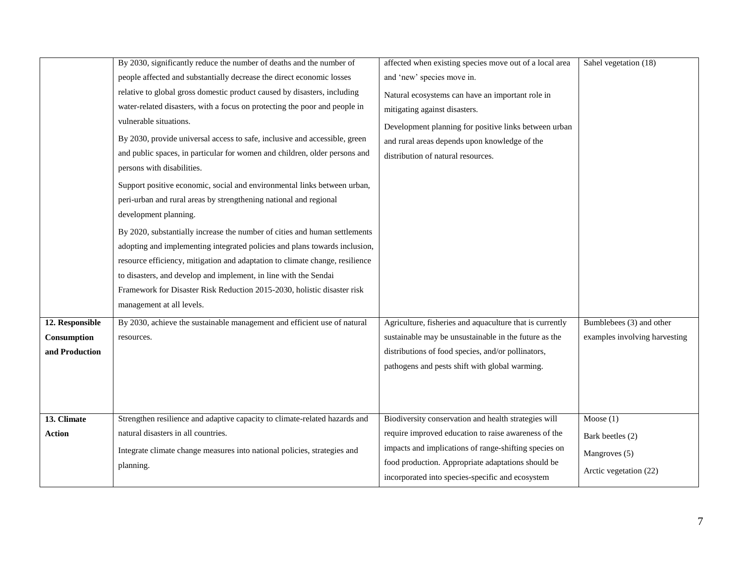|                 | By 2030, significantly reduce the number of deaths and the number of         | affected when existing species move out of a local area  | Sahel vegetation (18)         |
|-----------------|------------------------------------------------------------------------------|----------------------------------------------------------|-------------------------------|
|                 | people affected and substantially decrease the direct economic losses        | and 'new' species move in.                               |                               |
|                 | relative to global gross domestic product caused by disasters, including     | Natural ecosystems can have an important role in         |                               |
|                 | water-related disasters, with a focus on protecting the poor and people in   | mitigating against disasters.                            |                               |
|                 | vulnerable situations.                                                       | Development planning for positive links between urban    |                               |
|                 | By 2030, provide universal access to safe, inclusive and accessible, green   | and rural areas depends upon knowledge of the            |                               |
|                 | and public spaces, in particular for women and children, older persons and   | distribution of natural resources.                       |                               |
|                 | persons with disabilities.                                                   |                                                          |                               |
|                 | Support positive economic, social and environmental links between urban,     |                                                          |                               |
|                 | peri-urban and rural areas by strengthening national and regional            |                                                          |                               |
|                 | development planning.                                                        |                                                          |                               |
|                 | By 2020, substantially increase the number of cities and human settlements   |                                                          |                               |
|                 | adopting and implementing integrated policies and plans towards inclusion,   |                                                          |                               |
|                 | resource efficiency, mitigation and adaptation to climate change, resilience |                                                          |                               |
|                 | to disasters, and develop and implement, in line with the Sendai             |                                                          |                               |
|                 | Framework for Disaster Risk Reduction 2015-2030, holistic disaster risk      |                                                          |                               |
|                 | management at all levels.                                                    |                                                          |                               |
| 12. Responsible | By 2030, achieve the sustainable management and efficient use of natural     | Agriculture, fisheries and aquaculture that is currently | Bumblebees (3) and other      |
| Consumption     | resources.                                                                   | sustainable may be unsustainable in the future as the    | examples involving harvesting |
| and Production  |                                                                              | distributions of food species, and/or pollinators,       |                               |
|                 |                                                                              | pathogens and pests shift with global warming.           |                               |
|                 |                                                                              |                                                          |                               |
|                 |                                                                              |                                                          |                               |
| 13. Climate     | Strengthen resilience and adaptive capacity to climate-related hazards and   | Biodiversity conservation and health strategies will     | Moose $(1)$                   |
| <b>Action</b>   | natural disasters in all countries.                                          | require improved education to raise awareness of the     | Bark beetles (2)              |
|                 | Integrate climate change measures into national policies, strategies and     | impacts and implications of range-shifting species on    |                               |
|                 | planning.                                                                    | food production. Appropriate adaptations should be       | Mangroves (5)                 |
|                 |                                                                              | incorporated into species-specific and ecosystem         | Arctic vegetation (22)        |
|                 |                                                                              |                                                          |                               |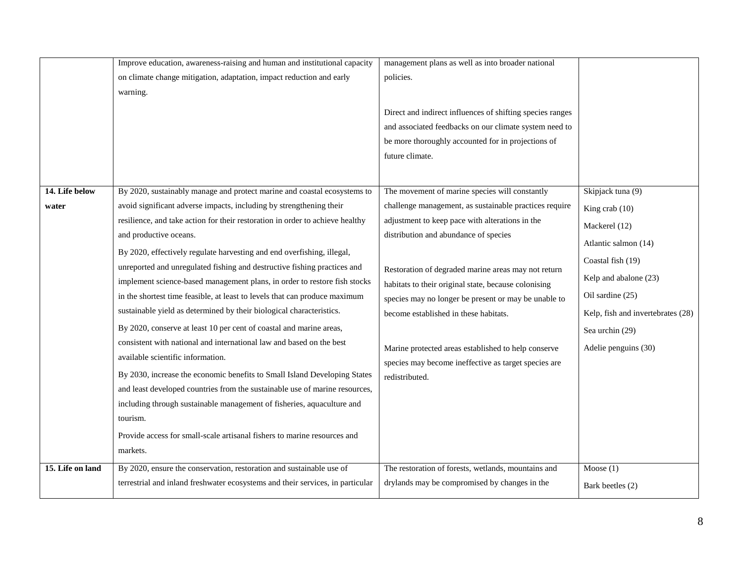|                         | Improve education, awareness-raising and human and institutional capacity                                                                                                                                                                                                                                                                                                                                                                                                                                                                                                                                                                                                                                                                                                                                                                                                                                                                                                                                                      | management plans as well as into broader national                                                                                                                                                                                                                                                                                                                                                                                         |                                                                                                                                                                                         |
|-------------------------|--------------------------------------------------------------------------------------------------------------------------------------------------------------------------------------------------------------------------------------------------------------------------------------------------------------------------------------------------------------------------------------------------------------------------------------------------------------------------------------------------------------------------------------------------------------------------------------------------------------------------------------------------------------------------------------------------------------------------------------------------------------------------------------------------------------------------------------------------------------------------------------------------------------------------------------------------------------------------------------------------------------------------------|-------------------------------------------------------------------------------------------------------------------------------------------------------------------------------------------------------------------------------------------------------------------------------------------------------------------------------------------------------------------------------------------------------------------------------------------|-----------------------------------------------------------------------------------------------------------------------------------------------------------------------------------------|
|                         | on climate change mitigation, adaptation, impact reduction and early                                                                                                                                                                                                                                                                                                                                                                                                                                                                                                                                                                                                                                                                                                                                                                                                                                                                                                                                                           | policies.                                                                                                                                                                                                                                                                                                                                                                                                                                 |                                                                                                                                                                                         |
|                         | warning.                                                                                                                                                                                                                                                                                                                                                                                                                                                                                                                                                                                                                                                                                                                                                                                                                                                                                                                                                                                                                       |                                                                                                                                                                                                                                                                                                                                                                                                                                           |                                                                                                                                                                                         |
| 14. Life below<br>water | By 2020, sustainably manage and protect marine and coastal ecosystems to<br>avoid significant adverse impacts, including by strengthening their                                                                                                                                                                                                                                                                                                                                                                                                                                                                                                                                                                                                                                                                                                                                                                                                                                                                                | Direct and indirect influences of shifting species ranges<br>and associated feedbacks on our climate system need to<br>be more thoroughly accounted for in projections of<br>future climate.<br>The movement of marine species will constantly<br>challenge management, as sustainable practices require                                                                                                                                  | Skipjack tuna (9)<br>King crab (10)                                                                                                                                                     |
|                         | resilience, and take action for their restoration in order to achieve healthy<br>and productive oceans.<br>By 2020, effectively regulate harvesting and end overfishing, illegal,<br>unreported and unregulated fishing and destructive fishing practices and<br>implement science-based management plans, in order to restore fish stocks<br>in the shortest time feasible, at least to levels that can produce maximum<br>sustainable yield as determined by their biological characteristics.<br>By 2020, conserve at least 10 per cent of coastal and marine areas,<br>consistent with national and international law and based on the best<br>available scientific information.<br>By 2030, increase the economic benefits to Small Island Developing States<br>and least developed countries from the sustainable use of marine resources,<br>including through sustainable management of fisheries, aquaculture and<br>tourism.<br>Provide access for small-scale artisanal fishers to marine resources and<br>markets. | adjustment to keep pace with alterations in the<br>distribution and abundance of species<br>Restoration of degraded marine areas may not return<br>habitats to their original state, because colonising<br>species may no longer be present or may be unable to<br>become established in these habitats.<br>Marine protected areas established to help conserve<br>species may become ineffective as target species are<br>redistributed. | Mackerel (12)<br>Atlantic salmon (14)<br>Coastal fish (19)<br>Kelp and abalone (23)<br>Oil sardine (25)<br>Kelp, fish and invertebrates (28)<br>Sea urchin (29)<br>Adelie penguins (30) |
| 15. Life on land        | By 2020, ensure the conservation, restoration and sustainable use of<br>terrestrial and inland freshwater ecosystems and their services, in particular                                                                                                                                                                                                                                                                                                                                                                                                                                                                                                                                                                                                                                                                                                                                                                                                                                                                         | The restoration of forests, wetlands, mountains and<br>drylands may be compromised by changes in the                                                                                                                                                                                                                                                                                                                                      | Moose $(1)$<br>Bark beetles (2)                                                                                                                                                         |